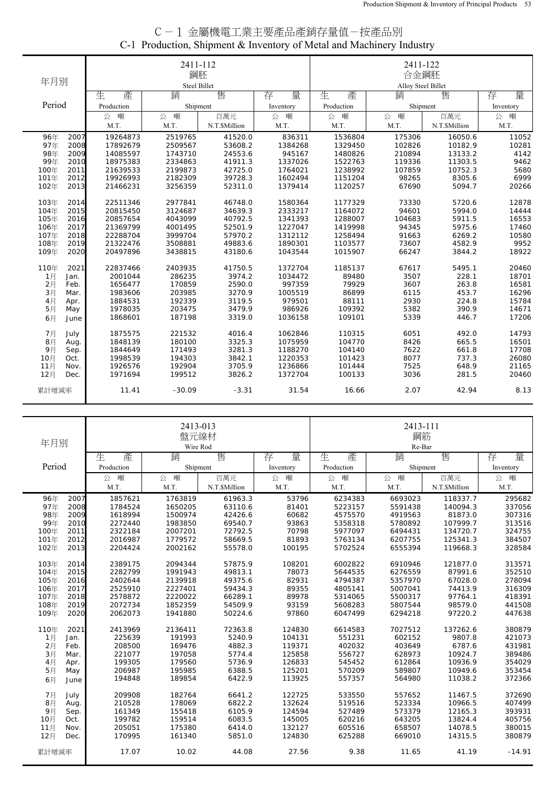| C-1 金屬機電工業主要產品產銷存量值-按產品別                                             |  |
|----------------------------------------------------------------------|--|
| C-1 Production, Shipment & Inventory of Metal and Machinery Industry |  |

|        |      |            | 2411-112     |               |                    | 2411-122<br>合金鋼胚 |              |               |           |  |
|--------|------|------------|--------------|---------------|--------------------|------------------|--------------|---------------|-----------|--|
| 年月別    |      |            | 鋼胚           |               |                    |                  |              |               |           |  |
|        |      |            | Steel Billet |               | Alloy Steel Billet |                  |              |               |           |  |
|        |      | 生<br>產     | 銷            | 售             | 量<br>存             | 生<br>產           | 銷            | 售             | 存<br>量    |  |
| Period |      | Production | Shipment     |               | Inventory          | Production       | Shipment     |               | Inventory |  |
|        |      | 公 噸        | 噸<br>公       | 百萬元           | 噸<br>公             | 噸<br>公           | 噸<br>公       | 百萬元           | 公 噸       |  |
|        |      | M.T.       | M.T.         | N.T.\$Million | M.T.               | M.T.             | M.T.         | N.T.\$Million | M.T.      |  |
| 96年    | 2007 | 19264873   | 2519765      | 41520.0       | 836311             | 1536804          | 175306       | 16050.6       | 11052     |  |
| 97年    | 2008 | 17892679   | 2509567      | 53608.2       | 1384268            | 1329450          | 102826       | 10182.9       | 10281     |  |
| 98年    | 2009 | 14085597   | 1743710      | 24553.6       | 945167             | 1480826          | 210894       | 13133.2       | 4142      |  |
| 99年    | 2010 | 18975383   | 2334863      | 41911.3       | 1337026            | 1522763          | 119336       | 11303.5       | 9462      |  |
| 100年   | 2011 | 21639533   | 2199873      | 42725.0       | 1764021            | 1238992          | 107859       | 10752.3       | 5680      |  |
| 101年   | 2012 | 19926993   | 2182309      | 39728.3       | 1602494            | 1151204          | 98265        | 8305.6        | 6999      |  |
| 102年   | 2013 | 21466231   | 3256359      | 52311.0       | 1379414            | 1120257          | 67690        | 5094.7        | 20266     |  |
| 103年   | 2014 | 22511346   | 2977841      | 46748.0       | 1580364            | 1177329          | 73330        | 5720.6        | 12878     |  |
| 104年   | 2015 | 20815450   | 3124687      | 34639.3       | 2333217            | 1164072          | 94601        | 5994.0        | 14444     |  |
| 105年   | 2016 | 20857654   | 4043099      | 40792.5       | 1341393            | 1288007          | 104683       | 5911.5        | 16553     |  |
| 106年   | 2017 | 21369799   | 4001495      | 52501.9       | 1227047            | 1419998          | 94345        | 5975.6        | 17460     |  |
| 107年   | 2018 | 22288704   | 3999704      | 57970.2       | 1312112            | 1258494          | 91663        | 6269.2        | 10580     |  |
| 108年   | 2019 | 21322476   | 3508881      | 49883.6       | 1890301            | 1103577          | 73607        | 4582.9        | 9952      |  |
| 109年   | 2020 | 20497896   | 3438815      | 43180.6       | 1043544            | 1015907          | 66247        | 3844.2        | 18922     |  |
| 110年   | 2021 | 22837466   | 2403935      | 41750.5       | 1372704            | 1185137          | 67617        | 5495.1        | 20460     |  |
| 1月     | Jan. | 2001044    | 286235       | 3974.2        | 1034472            | 89480            | 3507         | 228.1         | 18701     |  |
| 2月     | Feb. | 1656477    | 170859       | 2590.0        | 997359             | 79929            | 3607         | 263.8         | 16581     |  |
| 3月     | Mar. | 1983606    | 203985       | 3270.9        | 1005519            | 86899            | 6115         | 453.7         | 16296     |  |
| 4月     | Apr. | 1884531    | 192339       | 3119.5        | 979501             | 88111            | 2930         | 224.8         | 15784     |  |
| 5月     | May  | 1978035    | 203475       | 3479.9        | 986926             | 109392           | 5382<br>5339 | 390.9         | 14671     |  |
| 6月     | June | 1868601    | 187198       | 3319.0        | 1036158            | 109101           |              | 446.7         | 17206     |  |
| 7月     | July | 1875575    | 221532       | 4016.4        | 1062846            | 110315           | 6051         | 492.0         | 14793     |  |
| 8月     | Aug. | 1848139    | 180100       | 3325.3        | 1075959            | 104770           | 8426         | 665.5         | 16501     |  |
| 9月     | Sep. | 1844649    | 171493       | 3281.3        | 1188270            | 104140           | 7622         | 661.8         | 17708     |  |
| 10月    | Oct. | 1998539    | 194303       | 3842.1        | 1220353            | 101423           | 8077         | 737.3         | 26080     |  |
| 11月    | Nov. | 1926576    | 192904       | 3705.9        | 1236866            | 101444           | 7525         | 648.9         | 21165     |  |
| 12月    | Dec. | 1971694    | 199512       | 3826.2        | 1372704            | 100133           | 3036         | 281.5         | 20460     |  |
| 累計增減率  |      | 11.41      | $-30.09$     | $-3.31$       | 31.54              | 16.66            | 2.07         | 42.94         | 8.13      |  |

| 年月別         |                 | 2413-013<br>盤元線材<br>Wire Rod |               |           | 2413-111<br>鋼筋<br>Re-Bar |          |               |           |
|-------------|-----------------|------------------------------|---------------|-----------|--------------------------|----------|---------------|-----------|
|             | 產<br>生          | 銷                            | 售             | 量<br>存    | 生<br>產                   | 銷        | 售             | 量<br>存    |
| Period      | Production      |                              | Shipment      | Inventory | Production               | Shipment |               | Inventory |
|             | 噸<br>公          | 公<br>噸                       | 百萬元           | 公 噸       | 公<br>噸                   | 噸<br>公   | 百萬元           | 公 噸       |
|             | M.T.            | M.T.                         | N.T.\$Million | M.T.      | M.T.                     | M.T.     | N.T.\$Million | M.T.      |
| 96年         | 1857621<br>2007 | 1763819                      | 61963.3       | 53796     | 6234383                  | 6693023  | 118337.7      | 295682    |
| 97年         | 2008<br>1784524 | 1650205                      | 63110.6       | 81401     | 5223157                  | 5591438  | 140094.3      | 337056    |
| 98年         | 2009<br>1618994 | 1500974                      | 42426.6       | 60682     | 4575570                  | 4919563  | 81873.0       | 307316    |
| 99年         | 2010<br>2272440 | 1983850                      | 69540.7       | 93863     | 5358318                  | 5780892  | 107999.7      | 313516    |
| 100年        | 2011<br>2322184 | 2007201                      | 72792.5       | 70798     | 5977097                  | 6494431  | 134720.7      | 324755    |
| 101年        | 2012<br>2016987 | 1779572                      | 58669.5       | 81893     | 5763134                  | 6207755  | 125341.3      | 384507    |
| 102年        | 2013<br>2204424 | 2002162                      | 55578.0       | 100195    | 5702524                  | 6555394  | 119668.3      | 328584    |
| 103年        | 2014<br>2389175 | 2094344                      | 57875.9       | 108201    | 6002822                  | 6910946  | 121877.0      | 313571    |
| 104年        | 2015<br>2282799 | 1991943                      | 49813.1       | 78073     | 5644535                  | 6276559  | 87991.6       | 352510    |
| 105年        | 2016<br>2402644 | 2139918                      | 49375.6       | 82931     | 4794387                  | 5357970  | 67028.0       | 278094    |
| 106年        | 2017<br>2525910 | 2227401                      | 59434.3       | 89355     | 4805141                  | 5007041  | 74413.9       | 316309    |
| 107年        | 2018<br>2578872 | 2220022                      | 66289.1       | 89978     | 5314065                  | 5500317  | 97764.1       | 418391    |
| 108年        | 2019<br>2072734 | 1852359                      | 54509.9       | 93159     | 5608283                  | 5807544  | 98579.0       | 441508    |
| 109年        | 2020<br>2062073 | 1941880                      | 50224.6       | 97860     | 6047499                  | 6294218  | 97220.2       | 447638    |
| 110年        | 2021<br>2413969 | 2136411                      | 72363.8       | 124830    | 6614583                  | 7027512  | 137262.6      | 380879    |
| 1月<br>Jan.  | 225639          | 191993                       | 5240.9        | 104131    | 551231                   | 602152   | 9807.8        | 421073    |
| 2月<br>Feb.  | 208500          | 169476                       | 4882.3        | 119371    | 402032                   | 403649   | 6787.6        | 431981    |
| 3月<br>Mar.  | 221077          | 197058                       | 5774.4        | 125858    | 556727                   | 628973   | 10924.7       | 389486    |
| 4月<br>Apr.  | 199305          | 179560                       | 5736.9        | 126833    | 545452                   | 612864   | 10936.9       | 354029    |
| 5月<br>May   | 206987          | 195985                       | 6388.5        | 125201    | 570209                   | 589807   | 10949.6       | 353454    |
| 6月<br>June  | 194848          | 189854                       | 6422.9        | 113925    | 557357                   | 564980   | 11038.2       | 372366    |
| 7月<br>July  | 209908          | 182764                       | 6641.2        | 122725    | 533550                   | 557652   | 11467.5       | 372690    |
| 8月<br>Aug.  | 210528          | 178069                       | 6822.2        | 132624    | 519516                   | 523334   | 10966.5       | 407499    |
| 9月<br>Sep.  | 161349          | 155418                       | 6105.9        | 124594    | 527489                   | 573379   | 12165.3       | 393931    |
| 10月<br>Oct. | 199782          | 159514                       | 6083.5        | 145005    | 620216                   | 643205   | 13824.4       | 405756    |
| 11月<br>Nov. | 205051          | 175380                       | 6414.0        | 132127    | 605516                   | 658507   | 14078.5       | 380015    |
| 12月<br>Dec. | 170995          | 161340                       | 5851.0        | 124830    | 625288                   | 669010   | 14315.5       | 380879    |
| 累計增減率       | 17.07           | 10.02                        | 44.08         | 27.56     | 9.38                     | 11.65    | 41.19         | $-14.91$  |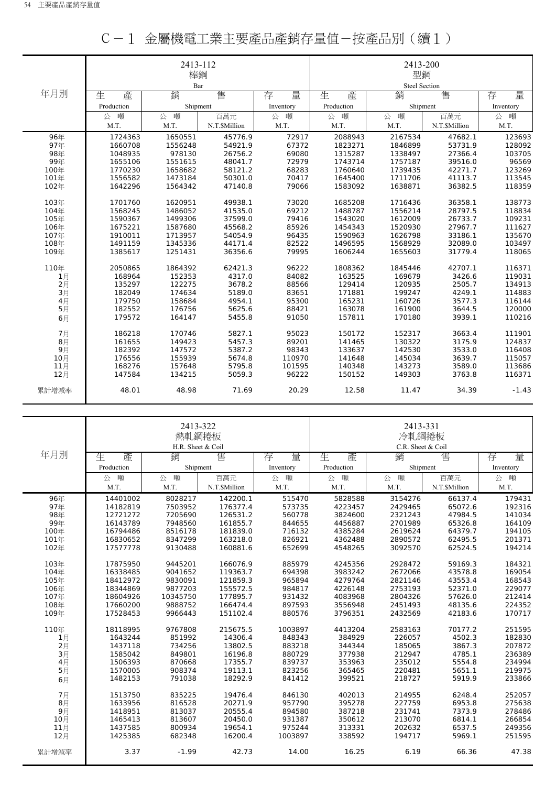|       |            | 2413-112 |              |           |            | 2413-200             |              |           |
|-------|------------|----------|--------------|-----------|------------|----------------------|--------------|-----------|
|       |            | 棒鋼       |              |           |            | 型鋼                   |              |           |
|       |            | Bar      |              |           |            | <b>Steel Section</b> |              |           |
| 年月別   | 生<br>產     | 銷        | 售            | 量<br>存    | 生<br>產     | 銷                    | 售            | 量<br>存    |
|       | Production | Shipment |              | Inventory | Production | Shipment             |              | Inventory |
|       | 噸<br>公     | 公 噸      | 百萬元          | 噸<br>公    | 噸<br>公     | 噸<br>公               | 百萬元          | 公 噸       |
|       | M.T.       | M.T.     | N.T.SMillion | M.T.      | M.T.       | M.T.                 | N.T.SMillion | M.T.      |
| 96年   | 1724363    | 1650551  | 45776.9      | 72917     | 2088943    | 2167534              | 47682.1      | 123693    |
| 97年   | 1660708    | 1556248  | 54921.9      | 67372     | 1823271    | 1846899              | 53731.9      | 128092    |
| 98年   | 1048935    | 978130   | 26756.2      | 69080     | 1315287    | 1338497              | 27366.4      | 103705    |
| 99年   | 1655106    | 1551615  | 48041.7      | 72979     | 1743714    | 1757187              | 39516.0      | 96569     |
| 100年  | 1770230    | 1658682  | 58121.2      | 68283     | 1760640    | 1739435              | 42271.7      | 123269    |
| 101年  | 1556582    | 1473184  | 50301.0      | 70417     | 1645400    | 1711706              | 41113.7      | 113545    |
| 102年  | 1642296    | 1564342  | 47140.8      | 79066     | 1583092    | 1638871              | 36382.5      | 118359    |
| 103年  | 1701760    | 1620951  | 49938.1      | 73020     | 1685208    | 1716436              | 36358.1      | 138773    |
| 104年  | 1568245    | 1486052  | 41535.0      | 69212     | 1488787    | 1556214              | 28797.5      | 118834    |
| 105年  | 1590367    | 1499306  | 37599.0      | 79416     | 1543020    | 1612009              | 26733.7      | 109231    |
| 106年  | 1675221    | 1587680  | 45568.2      | 85926     | 1454343    | 1520930              | 27967.7      | 111627    |
| 107年  | 1910011    | 1713957  | 54054.9      | 96435     | 1590963    | 1626798              | 33186.1      | 135670    |
| 108年  | 1491159    | 1345336  | 44171.4      | 82522     | 1496595    | 1568929              | 32089.0      | 103497    |
| 109年  | 1385617    | 1251431  | 36356.6      | 79995     | 1606244    | 1655603              | 31779.4      | 118065    |
| 110年  | 2050865    | 1864392  | 62421.3      | 96222     | 1808362    | 1845446              | 42707.1      | 116371    |
| 1月    | 168964     | 152353   | 4317.0       | 84082     | 163525     | 169679               | 3426.6       | 119031    |
| 2月    | 135297     | 122275   | 3678.2       | 88566     | 129414     | 120935               | 2505.7       | 134913    |
| 3月    | 182049     | 174634   | 5189.0       | 83651     | 171881     | 199247               | 4249.1       | 114883    |
| 4月    | 179750     | 158684   | 4954.1       | 95300     | 165231     | 160726               | 3577.3       | 116144    |
| 5月    | 182552     | 176756   | 5625.6       | 88421     | 163078     | 161900               | 3644.5       | 120000    |
| 6月    | 179572     | 164147   | 5455.8       | 91050     | 157811     | 170180               | 3939.1       | 110216    |
| 7月    | 186218     | 170746   | 5827.1       | 95023     | 150172     | 152317               | 3663.4       | 111901    |
| 8月    | 161655     | 149423   | 5457.3       | 89201     | 141465     | 130322               | 3175.9       | 124837    |
| 9月    | 182392     | 147572   | 5387.2       | 98343     | 133637     | 142530               | 3533.0       | 116408    |
| 10月   | 176556     | 155939   | 5674.8       | 110970    | 141648     | 145034               | 3639.7       | 115057    |
| 11月   | 168276     | 157648   | 5795.8       | 101595    | 140348     | 143273               | 3589.0       | 113686    |
| 12月   | 147584     | 134215   | 5059.3       | 96222     | 150152     | 149303               | 3763.8       | 116371    |
| 累計增減率 | 48.01      | 48.98    | 71.69        | 20.29     | 12.58      | 11.47                | 34.39        | $-1.43$   |

|  | C-1 金屬機電工業主要產品產銷存量值-按產品別(續1) |
|--|------------------------------|
|--|------------------------------|

|       |            | 2413-322<br>熱軋鋼捲板 |               |           | 2413-331<br>冷軋鋼捲板 |                   |               |           |
|-------|------------|-------------------|---------------|-----------|-------------------|-------------------|---------------|-----------|
| 年月別   |            | H.R. Sheet & Coil |               |           |                   | C.R. Sheet & Coil |               |           |
|       | 生<br>產     | 銷                 | 售             | 存<br>量    | 生<br>產            | 銷                 | 售             | 量<br>存    |
|       | Production | Shipment          |               | Inventory | Production        | Shipment          |               | Inventory |
|       | 噸<br>公     | 噸<br>公            | 百萬元           | 噸<br>公    | 噸<br>公            | 噸<br>公            | 百萬元           | 噸<br>公    |
|       | M.T.       | M.T.              | N.T.\$Million | M.T.      | M.T.              | M.T.              | N.T.\$Million | M.T.      |
| 96年   | 14401002   | 8028217           | 142200.1      | 515470    | 5828588           | 3154276           | 66137.4       | 179431    |
| 97年   | 14182819   | 7503952           | 176377.4      | 573735    | 4223457           | 2429465           | 65072.6       | 192316    |
| 98年   | 12721272   | 7205690           | 126531.2      | 560778    | 3824600           | 2321243           | 47984.5       | 141034    |
| 99年   | 16143789   | 7948560           | 161855.7      | 844655    | 4456887           | 2701989           | 65326.8       | 164109    |
| 100年  | 16794486   | 8516178           | 181839.0      | 716132    | 4385284           | 2619624           | 64379.7       | 194105    |
| 101年  | 16830652   | 8347299           | 163218.0      | 826921    | 4362488           | 2890572           | 62495.5       | 201371    |
| 102年  | 17577778   | 9130488           | 160881.6      | 652699    | 4548265           | 3092570           | 62524.5       | 194214    |
| 103年  | 17875950   | 9445201           | 166076.9      | 885979    | 4245356           | 2928472           | 59169.3       | 184321    |
| 104年  | 16338485   | 9041652           | 119363.7      | 694398    | 3983242           | 2672066           | 43578.8       | 169054    |
| 105年  | 18412972   | 9830091           | 121859.3      | 965894    | 4279764           | 2821146           | 43553.4       | 168543    |
| 106年  | 18344869   | 9877203           | 155572.5      | 984817    | 4226148           | 2753193           | 52371.0       | 229077    |
| 107年  | 18604926   | 10345750          | 177895.7      | 931432    | 4083968           | 2804326           | 57626.0       | 212414    |
| 108年  | 17660200   | 9888752           | 166474.4      | 897593    | 3556948           | 2451493           | 48135.6       | 224352    |
| 109年  | 17528453   | 9966443           | 151102.4      | 880576    | 3796351           | 2432569           | 42183.6       | 170717    |
| 110年  | 18118995   | 9767808           | 215675.5      | 1003897   | 4413204           | 2583163           | 70177.2       | 251595    |
| 1月    | 1643244    | 851992            | 14306.4       | 848343    | 384929            | 226057            | 4502.3        | 182830    |
| 2月    | 1437118    | 734256            | 13802.5       | 883218    | 344344            | 185065            | 3867.3        | 207872    |
| 3月    | 1585042    | 849801            | 16196.8       | 880729    | 377938            | 212947            | 4785.1        | 236389    |
| 4月    | 1506393    | 870668            | 17355.7       | 839737    | 353963            | 235012            | 5554.8        | 234994    |
| 5月    | 1570005    | 908374            | 19113.1       | 823256    | 365465            | 220481            | 5651.1        | 219975    |
| 6月    | 1482153    | 791038            | 18292.9       | 841412    | 399521            | 218727            | 5919.9        | 233866    |
| 7月    | 1513750    | 835225            | 19476.4       | 846130    | 402013            | 214955            | 6248.4        | 252057    |
| 8月    | 1633956    | 816528            | 20271.9       | 957790    | 395278            | 227759            | 6953.8        | 275638    |
| 9月    | 1418951    | 813037            | 20555.4       | 894580    | 387218            | 231741            | 7373.9        | 278486    |
| 10月   | 1465413    | 813607            | 20450.0       | 931387    | 350612            | 213070            | 6814.1        | 266854    |
| 11月   | 1437585    | 800934            | 19654.1       | 975244    | 313331            | 202632            | 6537.5        | 249356    |
| 12月   | 1425385    | 682348            | 16200.4       | 1003897   | 338592            | 194717            | 5969.1        | 251595    |
| 累計增減率 | 3.37       | $-1.99$           | 42.73         | 14.00     | 16.25             | 6.19              | 66.36         | 47.38     |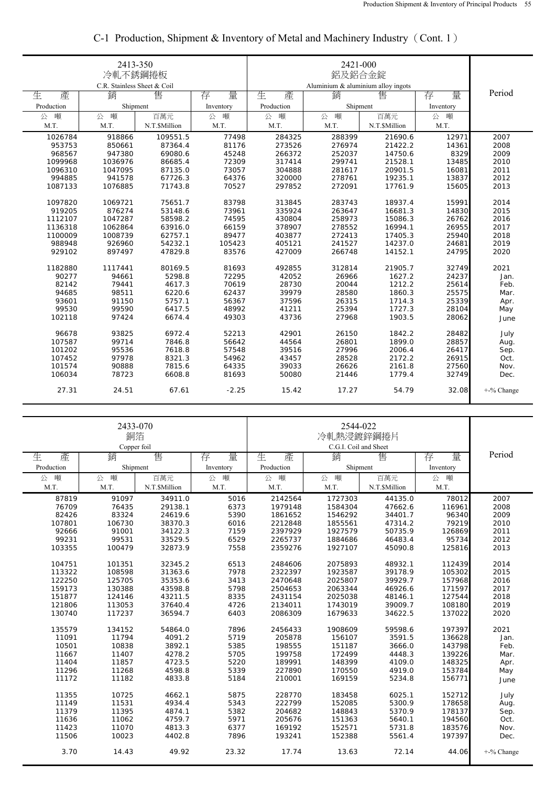|            | 2413-350<br>冷軋不銹鋼捲板<br>C.R. Stainless Sheet & Coil |               |           |            |                                         |               |           |            |
|------------|----------------------------------------------------|---------------|-----------|------------|-----------------------------------------|---------------|-----------|------------|
| 生<br>產     | 銷                                                  | 售             | 存<br>量    | 生<br>產     | Aluminium & aluminium alloy ingots<br>锁 | 售             | 存<br>量    | Period     |
| Production | Shipment                                           |               | Inventory | Production | Shipment                                |               | Inventory |            |
| 噸<br>公     | 噸<br>公                                             | 百萬元           | 公<br>噸    | 噸<br>公     | 噸<br>公                                  | 百萬元           | 公<br>噸    |            |
| M.T.       | M.T.                                               | N.T.\$Million | M.T.      | M.T.       | M.T.                                    | N.T.\$Million | M.T.      |            |
| 1026784    | 918866                                             | 109551.5      | 77498     | 284325     | 288399                                  | 21690.6       | 12971     | 2007       |
| 953753     | 850661                                             | 87364.4       | 81176     | 273526     | 276974                                  | 21422.2       | 14361     | 2008       |
| 968567     | 947380                                             | 69080.6       | 45248     | 266372     | 252037                                  | 14750.6       | 8329      | 2009       |
| 1099968    | 1036976                                            | 86685.4       | 72309     | 317414     | 299741                                  | 21528.1       | 13485     | 2010       |
| 1096310    | 1047095                                            | 87135.0       | 73057     | 304888     | 281617                                  | 20901.5       | 16081     | 2011       |
| 994885     | 941578                                             | 67726.3       | 64376     | 320000     | 278761                                  | 19235.1       | 13837     | 2012       |
| 1087133    | 1076885                                            | 71743.8       | 70527     | 297852     | 272091                                  | 17761.9       | 15605     | 2013       |
| 1097820    | 1069721                                            | 75651.7       | 83798     | 313845     | 283743                                  | 18937.4       | 15991     | 2014       |
| 919205     | 876274                                             | 53148.6       | 73961     | 335924     | 263647                                  | 16681.3       | 14830     | 2015       |
| 1112107    | 1047287                                            | 58598.2       | 74595     | 430804     | 258973                                  | 15086.3       | 26762     | 2016       |
| 1136318    | 1062864                                            | 63916.0       | 66159     | 378907     | 278552                                  | 16994.1       | 26955     | 2017       |
| 1100009    | 1008739                                            | 62757.1       | 89477     | 403877     | 272413                                  | 17405.3       | 25940     | 2018       |
| 988948     | 926960                                             | 54232.1       | 105423    | 405121     | 241527                                  | 14237.0       | 24681     | 2019       |
| 929102     | 897497                                             | 47829.8       | 83576     | 427009     | 266748                                  | 14152.1       | 24795     | 2020       |
| 1182880    | 1117441                                            | 80169.5       | 81693     | 492855     | 312814                                  | 21905.7       | 32749     | 2021       |
| 90277      | 94661                                              | 5298.8        | 72295     | 42052      | 26966                                   | 1627.2        | 24237     | Jan.       |
| 82142      | 79441                                              | 4617.3        | 70619     | 28730      | 20044                                   | 1212.2        | 25614     | Feb.       |
| 94685      | 98511                                              | 6220.6        | 62437     | 39979      | 28580                                   | 1860.3        | 25575     | Mar.       |
| 93601      | 91150                                              | 5757.1        | 56367     | 37596      | 26315                                   | 1714.3        | 25339     | Apr.       |
| 99530      | 99590                                              | 6417.5        | 48992     | 41211      | 25394                                   | 1727.3        | 28104     | May        |
| 102118     | 97424                                              | 6674.4        | 49303     | 43736      | 27968                                   | 1903.5        | 28062     | June       |
| 96678      | 93825                                              | 6972.4        | 52213     | 42901      | 26150                                   | 1842.2        | 28482     | July       |
| 107587     | 99714                                              | 7846.8        | 56642     | 44564      | 26801                                   | 1899.0        | 28857     | Aug.       |
| 101202     | 95536                                              | 7618.8        | 57548     | 39516      | 27996                                   | 2006.4        | 26417     | Sep.       |
| 107452     | 97978                                              | 8321.3        | 54962     | 43457      | 28528                                   | 2172.2        | 26915     | Oct.       |
| 101574     | 90888                                              | 7815.6        | 64335     | 39033      | 26626                                   | 2161.8        | 27560     | Nov.       |
| 106034     | 78723                                              | 6608.8        | 81693     | 50080      | 21446                                   | 1779.4        | 32749     | Dec.       |
| 27.31      | 24.51                                              | 67.61         | $-2.25$   | 15.42      | 17.27                                   | 54.79         | 32.08     | +-% Change |

## C-1 Production, Shipment & Inventory of Metal and Machinery Industry(Cont. 1)

|            | 2433-070<br>銅箔<br>Copper foil |               |           | 2544-022<br>冷軋熱浸鍍鋅鋼捲片<br>C.G.I. Coil and Sheet |          |               |           |               |
|------------|-------------------------------|---------------|-----------|------------------------------------------------|----------|---------------|-----------|---------------|
| 生<br>產     | 銷                             | 售             | 量<br>存    | 生<br>產                                         | 銷        | 售             | 量<br>存    | Period        |
| Production | Shipment                      |               | Inventory | Production                                     | Shipment |               | Inventory |               |
| 噸<br>公     | 噸<br>公                        | 百萬元           | 噸<br>公    | 噸<br>公                                         | 噸<br>公   | 百萬元           | 噸<br>公    |               |
| M.T.       | M.T.                          | N.T.\$Million | M.T.      | M.T.                                           | M.T.     | N.T.\$Million | M.T.      |               |
| 87819      | 91097                         | 34911.0       | 5016      | 2142564                                        | 1727303  | 44135.0       | 78012     | 2007          |
| 76709      | 76435                         | 29138.1       | 6373      | 1979148                                        | 1584304  | 47662.6       | 116961    | 2008          |
| 82426      | 83324                         | 24619.6       | 5390      | 1861652                                        | 1546292  | 34401.7       | 96340     | 2009          |
| 107801     | 106730                        | 38370.3       | 6016      | 2212848                                        | 1855561  | 47314.2       | 79219     | 2010          |
| 92666      | 91001                         | 34122.3       | 7159      | 2397929                                        | 1927579  | 50735.9       | 126869    | 2011          |
| 99231      | 99531                         | 33529.5       | 6529      | 2265737                                        | 1884686  | 46483.4       | 95734     | 2012          |
| 103355     | 100479                        | 32873.9       | 7558      | 2359276                                        | 1927107  | 45090.8       | 125816    | 2013          |
| 104751     | 101351                        | 32345.2       | 6513      | 2484606                                        | 2075893  | 48932.1       | 112439    | 2014          |
| 113322     | 108598                        | 31363.6       | 7978      | 2322397                                        | 1923587  | 39178.9       | 105302    | 2015          |
| 122250     | 125705                        | 35353.6       | 3413      | 2470648                                        | 2025807  | 39929.7       | 157968    | 2016          |
| 159173     | 130388                        | 43598.8       | 5798      | 2504653                                        | 2063344  | 46926.6       | 171597    | 2017          |
| 151877     | 124146                        | 43211.5       | 8335      | 2431154                                        | 2025038  | 48146.1       | 127544    | 2018          |
| 121806     | 113053                        | 37640.4       | 4726      | 2134011                                        | 1743019  | 39009.7       | 108180    | 2019          |
| 130740     | 117237                        | 36594.7       | 6403      | 2086309                                        | 1679633  | 34622.5       | 137022    | 2020          |
| 135579     | 134152                        | 54864.0       | 7896      | 2456433                                        | 1908609  | 59598.6       | 197397    | 2021          |
| 11091      | 11794                         | 4091.2        | 5719      | 205878                                         | 156107   | 3591.5        | 136628    | Jan.          |
| 10501      | 10838                         | 3892.1        | 5385      | 198555                                         | 151187   | 3666.0        | 143798    | Feb.          |
| 11667      | 11407                         | 4278.2        | 5705      | 199758                                         | 172499   | 4448.3        | 139226    | Mar.          |
| 11404      | 11857                         | 4723.5        | 5220      | 189991                                         | 148399   | 4109.0        | 148325    | Apr.          |
| 11296      | 11268                         | 4598.8        | 5339      | 227890                                         | 170550   | 4919.0        | 153784    | May           |
| 11172      | 11182                         | 4833.8        | 5184      | 210001                                         | 169159   | 5234.8        | 156771    | June          |
| 11355      | 10725                         | 4662.1        | 5875      | 228770                                         | 183458   | 6025.1        | 152712    | July          |
| 11149      | 11531                         | 4934.4        | 5343      | 222799                                         | 152085   | 5300.9        | 178658    | Aug.          |
| 11379      | 11395                         | 4874.1        | 5382      | 204682                                         | 148843   | 5370.9        | 178137    | Sep.          |
| 11636      | 11062                         | 4759.7        | 5971      | 205676                                         | 151363   | 5640.1        | 194560    | Oct.          |
| 11423      | 11070                         | 4813.3        | 6377      | 169192                                         | 152571   | 5731.8        | 183576    | Nov.          |
| 11506      | 10023                         | 4402.8        | 7896      | 193241                                         | 152388   | 5561.4        | 197397    | Dec.          |
| 3.70       | 14.43                         | 49.92         | 23.32     | 17.74                                          | 13.63    | 72.14         | 44.06     | $+$ -% Change |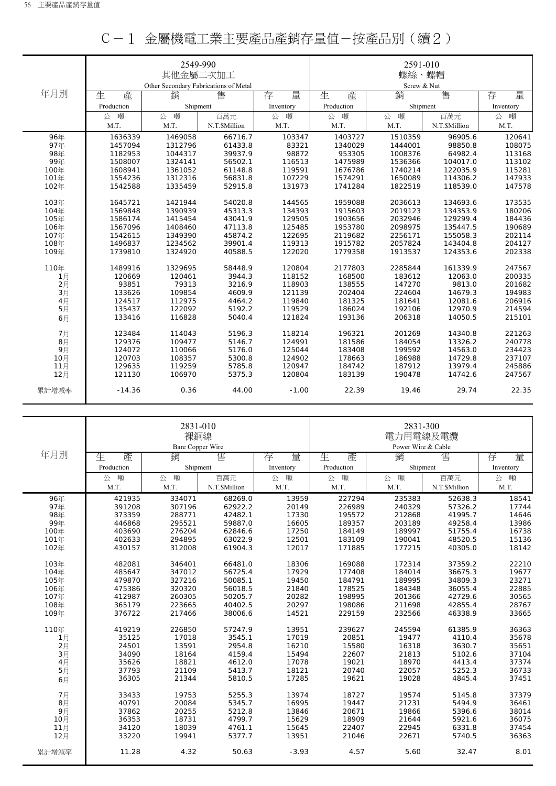|       |            | 2549-990                              |               |           |            | 2591-010    |               |           |
|-------|------------|---------------------------------------|---------------|-----------|------------|-------------|---------------|-----------|
|       |            | 其他金屬二次加工                              |               |           | 螺絲、螺帽      |             |               |           |
|       |            | Other Secondary Fabrications of Metal |               |           |            | Screw & Nut |               |           |
| 年月別   | 生<br>產     | 銷                                     | 售             | 量<br>存    | 生<br>產     | 銷           | 售             | 量<br>存    |
|       | Production | Shipment                              |               | Inventory | Production | Shipment    |               | Inventory |
|       | 噸<br>公     | 噸<br>公                                | 百萬元           | 公<br>噸    | 噸<br>公     | 噸<br>公      | 百萬元           | 公 噸       |
|       | M.T.       | M.T.                                  | N.T.\$Million | M.T.      | M.T.       | M.T.        | N.T.\$Million | M.T.      |
| 96年   | 1636339    | 1469058                               | 66716.7       | 103347    | 1403727    | 1510359     | 96905.6       | 120641    |
| 97年   | 1457094    | 1312796                               | 61433.8       | 83321     | 1340029    | 1444001     | 98850.8       | 108075    |
| 98年   | 1182953    | 1044317                               | 39937.9       | 98872     | 953305     | 1008376     | 64982.4       | 113168    |
| 99年   | 1508007    | 1324141                               | 56502.1       | 116513    | 1475989    | 1536366     | 104017.0      | 113102    |
| 100年  | 1608941    | 1361052                               | 61148.8       | 119591    | 1676786    | 1740214     | 122035.9      | 115281    |
| 101年  | 1554236    | 1312316                               | 56831.8       | 107229    | 1574291    | 1650089     | 114306.2      | 147933    |
| 102年  | 1542588    | 1335459                               | 52915.8       | 131973    | 1741284    | 1822519     | 118539.0      | 147578    |
| 103年  | 1645721    | 1421944                               | 54020.8       | 144565    | 1959088    | 2036613     | 134693.6      | 173535    |
| 104年  | 1569848    | 1390939                               | 45313.3       | 134393    | 1915603    | 2019123     | 134353.9      | 180206    |
| 105年  | 1586174    | 1415454                               | 43041.9       | 129505    | 1903656    | 2032946     | 129299.4      | 184436    |
| 106年  | 1567096    | 1408460                               | 47113.8       | 125485    | 1953780    | 2098975     | 135447.5      | 190689    |
| 107年  | 1542615    | 1349390                               | 45874.2       | 122695    | 2119682    | 2256171     | 155058.3      | 202114    |
| 108年  | 1496837    | 1234562                               | 39901.4       | 119313    | 1915782    | 2057824     | 143404.8      | 204127    |
| 109年  | 1739810    | 1324920                               | 40588.5       | 122020    | 1779358    | 1913537     | 124353.6      | 202338    |
| 110年  | 1489916    | 1329695                               | 58448.9       | 120804    | 2177803    | 2285844     | 161339.9      | 247567    |
| 1月    | 120669     | 120461                                | 3944.3        | 118152    | 168500     | 183612      | 12063.0       | 200335    |
| 2月    | 93851      | 79313                                 | 3216.9        | 118903    | 138555     | 147270      | 9813.0        | 201682    |
| 3月    | 133626     | 109854                                | 4609.9        | 121139    | 202404     | 224604      | 14679.3       | 194983    |
| 4月    | 124517     | 112975                                | 4464.2        | 119840    | 181325     | 181641      | 12081.6       | 206916    |
| 5月    | 135437     | 122092                                | 5192.2        | 119529    | 186024     | 192106      | 12970.9       | 214594    |
| 6月    | 133416     | 116828                                | 5040.4        | 121824    | 193136     | 206318      | 14050.5       | 215101    |
| 7月    | 123484     | 114043                                | 5196.3        | 118214    | 196321     | 201269      | 14340.8       | 221263    |
| $8$ 月 | 129376     | 109477                                | 5146.7        | 124991    | 181586     | 184054      | 13326.2       | 240778    |
| 9月    | 124072     | 110066                                | 5176.0        | 125044    | 183408     | 199592      | 14563.0       | 234423    |
| 10月   | 120703     | 108357                                | 5300.8        | 124902    | 178663     | 186988      | 14729.8       | 237107    |
| 11月   | 129635     | 119259                                | 5785.8        | 120947    | 184742     | 187912      | 13979.4       | 245886    |
| 12月   | 121130     | 106970                                | 5375.3        | 120804    | 183139     | 190478      | 14742.6       | 247567    |
| 累計增減率 | $-14.36$   | 0.36                                  | 44.00         | $-1.00$   | 22.39      | 19.46       | 29.74         | 22.35     |

|  |  | C-1 金屬機電工業主要產品產銷存量值-按產品別(續2) |  |
|--|--|------------------------------|--|
|--|--|------------------------------|--|

|                |            | 2831-010<br>裸銅線<br><b>Bare Copper Wire</b> |               |           | 2831-300<br>電力用電線及電纜<br>Power Wire & Cable |          |               |           |
|----------------|------------|--------------------------------------------|---------------|-----------|--------------------------------------------|----------|---------------|-----------|
| 年月別            | 產<br>生     | 銷                                          | 售             | 量<br>存    | 生<br>產                                     | 銷        | 售             | 量<br>存    |
|                | Production | Shipment                                   |               | Inventory | Production                                 | Shipment |               | Inventory |
|                | 噸<br>公     | 噸<br>公                                     | 百萬元           | 公<br>噸    | 噸<br>公                                     | 噸<br>公   | 百萬元           | 噸<br>公    |
|                | M.T.       | M.T.                                       | N.T.\$Million | M.T.      | M.T.                                       | M.T.     | N.T.\$Million | M.T.      |
| 96年            | 421935     | 334071                                     | 68269.0       | 13959     | 227294                                     | 235383   | 52638.3       | 18541     |
| 97年            | 391208     | 307196                                     | 62922.2       | 20149     | 226989                                     | 240329   | 57326.2       | 17744     |
| 98年            | 373359     | 288771                                     | 42482.1       | 17330     | 195572                                     | 212868   | 41995.7       | 14646     |
| 99年            | 446868     | 295521                                     | 59887.0       | 16605     | 189357                                     | 203189   | 49258.4       | 13986     |
| 100年           | 403690     | 276204                                     | 62846.6       | 17250     | 184149                                     | 189997   | 51755.4       | 16738     |
| 101年           | 402633     | 294895                                     | 63022.9       | 12501     | 183109                                     | 190041   | 48520.5       | 15136     |
| 102年           | 430157     | 312008                                     | 61904.3       | 12017     | 171885                                     | 177215   | 40305.0       | 18142     |
| 103年           | 482081     | 346401                                     | 66481.0       | 18306     | 169088                                     | 172314   | 37359.2       | 22210     |
| 104年           | 485647     | 347012                                     | 56725.4       | 17929     | 177408                                     | 184014   | 36675.3       | 19677     |
| 105年           | 479870     | 327216                                     | 50085.1       | 19450     | 184791                                     | 189995   | 34809.3       | 23271     |
| 106年           | 475386     | 320320                                     | 56018.5       | 21840     | 178525                                     | 184348   | 36055.4       | 22885     |
| 107年           | 412987     | 260305                                     | 50205.7       | 20282     | 198995                                     | 201366   | 42729.6       | 30565     |
| 108年           | 365179     | 223665                                     | 40402.5       | 20297     | 198086                                     | 211698   | 42855.4       | 28767     |
| 109年           | 376722     | 217466                                     | 38006.6       | 14521     | 229159                                     | 232566   | 46338.9       | 33665     |
| 110年           | 419219     | 226850                                     | 57247.9       | 13951     | 239627                                     | 245594   | 61385.9       | 36363     |
| 1月             | 35125      | 17018                                      | 3545.1        | 17019     | 20851                                      | 19477    | 4110.4        | 35678     |
| $2$ 月          | 24501      | 13591                                      | 2954.8        | 16210     | 15580                                      | 16318    | 3630.7        | 35651     |
| 3 <sub>月</sub> | 34090      | 18164                                      | 4159.4        | 15494     | 22607                                      | 21813    | 5102.6        | 37104     |
| 4月             | 35626      | 18821                                      | 4612.0        | 17078     | 19021                                      | 18970    | 4413.4        | 37374     |
| 5月             | 37793      | 21109                                      | 5413.7        | 18121     | 20740                                      | 22057    | 5252.3        | 36733     |
| 6月             | 36305      | 21344                                      | 5810.5        | 17285     | 19621                                      | 19028    | 4845.4        | 37451     |
| 7月             | 33433      | 19753                                      | 5255.3        | 13974     | 18727                                      | 19574    | 5145.8        | 37379     |
| 8月             | 40791      | 20084                                      | 5345.7        | 16995     | 19447                                      | 21231    | 5494.9        | 36461     |
| 9月             | 37862      | 20255                                      | 5212.8        | 13846     | 20671                                      | 19866    | 5396.6        | 38014     |
| 10月            | 36353      | 18731                                      | 4799.7        | 15629     | 18909                                      | 21644    | 5921.6        | 36075     |
| 11月            | 34120      | 18039                                      | 4761.1        | 15645     | 22407                                      | 22945    | 6331.8        | 37454     |
| 12月            | 33220      | 19941                                      | 5377.7        | 13951     | 21046                                      | 22671    | 5740.5        | 36363     |
| 累計增減率          | 11.28      | 4.32                                       | 50.63         | $-3.93$   | 4.57                                       | 5.60     | 32.47         | 8.01      |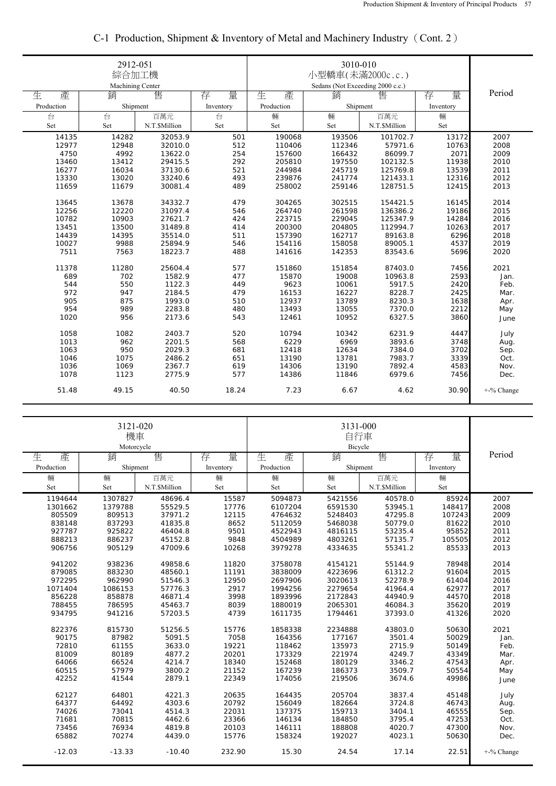|            | 2912-051<br>綜合加工機<br>Machining Center |              |           | 3010-010<br>小型轎車(未滿2000c.c.)<br>Sedans (Not Exceeding 2000 c.c.) |          |              |           |               |
|------------|---------------------------------------|--------------|-----------|------------------------------------------------------------------|----------|--------------|-----------|---------------|
| 生<br>產     | 銷                                     | 售            | 量<br>存    | 生<br>產                                                           | 銷        | 售            | 量<br>存    | Period        |
| Production | Shipment                              |              | Inventory | Production                                                       | Shipment |              | Inventory |               |
| 台          | 台                                     | 百萬元          | 台         | 輛                                                                | 輛        | 百萬元          | 輛         |               |
| Set        | Set                                   | N.T.SMillion | Set       | Set                                                              | Set      | N.T.SMillion | Set       |               |
| 14135      | 14282                                 | 32053.9      | 501       | 190068                                                           | 193506   | 101702.7     | 13172     | 2007          |
| 12977      | 12948                                 | 32010.0      | 512       | 110406                                                           | 112346   | 57971.6      | 10763     | 2008          |
| 4750       | 4992                                  | 13622.0      | 254       | 157600                                                           | 166432   | 86099.7      | 2071      | 2009          |
| 13460      | 13412                                 | 29415.5      | 292       | 205810                                                           | 197550   | 102132.5     | 11938     | 2010          |
| 16277      | 16034                                 | 37130.6      | 521       | 244984                                                           | 245719   | 125769.8     | 13539     | 2011          |
| 13330      | 13020                                 | 33240.6      | 493       | 239876                                                           | 241774   | 121433.1     | 12316     | 2012          |
| 11659      | 11679                                 | 30081.4      | 489       | 258002                                                           | 259146   | 128751.5     | 12415     | 2013          |
| 13645      | 13678                                 | 34332.7      | 479       | 304265                                                           | 302515   | 154421.5     | 16145     | 2014          |
| 12256      | 12220                                 | 31097.4      | 546       | 264740                                                           | 261598   | 136386.2     | 19186     | 2015          |
| 10782      | 10903                                 | 27621.7      | 424       | 223715                                                           | 229045   | 125347.9     | 14284     | 2016          |
| 13451      | 13500                                 | 31489.8      | 414       | 200300                                                           | 204805   | 112994.7     | 10263     | 2017          |
| 14439      | 14395                                 | 35514.0      | 511       | 157390                                                           | 162717   | 89163.8      | 6296      | 2018          |
| 10027      | 9988                                  | 25894.9      | 546       | 154116                                                           | 158058   | 89005.1      | 4537      | 2019          |
| 7511       | 7563                                  | 18223.7      | 488       | 141616                                                           | 142353   | 83543.6      | 5696      | 2020          |
| 11378      | 11280                                 | 25604.4      | 577       | 151860                                                           | 151854   | 87403.0      | 7456      | 2021          |
| 689        | 702                                   | 1582.9       | 477       | 15870                                                            | 19008    | 10963.8      | 2593      | Jan.          |
| 544        | 550                                   | 1122.3       | 449       | 9623                                                             | 10061    | 5917.5       | 2420      | Feb.          |
| 972        | 947                                   | 2184.5       | 479       | 16153                                                            | 16227    | 8228.7       | 2425      | Mar.          |
| 905        | 875                                   | 1993.0       | 510       | 12937                                                            | 13789    | 8230.3       | 1638      |               |
| 954        | 989                                   | 2283.8       | 480       | 13493                                                            | 13055    | 7370.0       | 2212      | Apr.<br>May   |
| 1020       | 956                                   | 2173.6       | 543       | 12461                                                            | 10952    | 6327.5       | 3860      |               |
|            |                                       |              |           |                                                                  |          |              |           | June          |
| 1058       | 1082                                  | 2403.7       | 520       | 10794                                                            | 10342    | 6231.9       | 4447      | July          |
| 1013       | 962                                   | 2201.5       | 568       | 6229                                                             | 6969     | 3893.6       | 3748      | Aug.          |
| 1063       | 950                                   | 2029.3       | 681       | 12418                                                            | 12634    | 7384.0       | 3702      | Sep.          |
| 1046       | 1075                                  | 2486.2       | 651       | 13190                                                            | 13781    | 7983.7       | 3339      | Oct.          |
| 1036       | 1069                                  | 2367.7       | 619       | 14306                                                            | 13190    | 7892.4       | 4583      | Nov.          |
| 1078       | 1123                                  | 2775.9       | 577       | 14386                                                            | 11846    | 6979.6       | 7456      | Dec.          |
| 51.48      | 49.15                                 | 40.50        | 18.24     | 7.23                                                             | 6.67     | 4.62         | 30.90     | $+$ -% Change |

## C-1 Production, Shipment & Inventory of Metal and Machinery Industry(Cont. 2)

|            | 3121-020<br>機車<br>Motorcycle |               |           |            |                  |               |           |            |
|------------|------------------------------|---------------|-----------|------------|------------------|---------------|-----------|------------|
| 生<br>產     | 銷                            | 售             | 量<br>存    | 生<br>產     | 售<br>銷<br>量<br>存 |               |           | Period     |
| Production | Shipment                     |               | Inventory | Production | Shipment         |               | Inventory |            |
| 輛          | 輛                            | 百萬元           | 輛         | 輛          | 輛<br>百萬元         |               | 輛         |            |
| Set        | Set                          | N.T.\$Million | Set       | Set        | Set              | N.T.\$Million | Set       |            |
| 1194644    | 1307827                      | 48696.4       | 15587     | 5094873    | 5421556          | 40578.0       | 85924     | 2007       |
| 1301662    | 1379788                      | 55529.5       | 17776     | 6107204    | 6591530          | 53945.1       | 148417    | 2008       |
| 805509     | 809513                       | 37971.2       | 12115     | 4764632    | 5248403          | 47295.8       | 107243    | 2009       |
| 838148     | 837293                       | 41835.8       | 8652      | 5112059    | 5468038          | 50779.0       | 81622     | 2010       |
| 927787     | 925822                       | 46404.8       | 9501      | 4522943    | 4816115          | 53235.4       | 95852     | 2011       |
| 888213     | 886237                       | 45152.8       | 9848      | 4504989    | 4803261          | 57135.7       | 105505    | 2012       |
| 906756     | 905129                       | 47009.6       | 10268     | 3979278    | 4334635          | 55341.2       | 85533     | 2013       |
| 941202     | 938236                       | 49858.6       | 11820     | 3758078    | 4154121          | 55144.9       | 78948     | 2014       |
| 879085     | 883230                       | 48560.1       | 11191     | 3838009    | 4223696          | 61312.2       | 91604     | 2015       |
| 972295     | 962990                       | 51546.3       | 12950     | 2697906    | 3020613          | 52278.9       | 61404     | 2016       |
| 1071404    | 1086153                      | 57776.3       | 2917      | 1994256    | 2279654          | 41964.4       | 62977     | 2017       |
| 856228     | 858878                       | 46871.4       | 3998      | 1893996    | 2172843          | 44940.9       | 44570     | 2018       |
| 788455     | 786595                       | 45463.7       | 8039      | 1880019    | 2065301          | 46084.3       | 35620     | 2019       |
| 934795     | 941216                       | 57203.5       | 4739      | 1611735    | 1794461          | 37393.0       | 41326     | 2020       |
| 822376     | 815730                       | 51256.5       | 15776     | 1858338    | 2234888          | 43803.0       | 50630     | 2021       |
| 90175      | 87982                        | 5091.5        | 7058      | 164356     | 177167           | 3501.4        | 50029     | Jan.       |
| 72810      | 61155                        | 3633.0        | 19221     | 118462     | 135973           | 2715.9        | 50149     | Feb.       |
| 81009      | 80189                        | 4877.2        | 20201     | 173329     | 221974           | 4249.7        | 43349     | Mar.       |
| 64066      | 66524                        | 4214.7        | 18340     | 152468     | 180129           | 3346.2        | 47543     | Apr.       |
| 60515      | 57979                        | 3800.2        | 21152     | 167239     | 186373           | 3509.7        | 50554     | May        |
| 42252      | 41544                        | 2879.1        | 22349     | 174056     | 219506           | 3674.6        | 49986     | June       |
| 62127      | 64801                        | 4221.3        | 20635     | 164435     | 205704           | 3837.4        | 45148     | July       |
| 64377      | 64492                        | 4303.6        | 20792     | 156049     | 182664           | 3724.8        | 46743     | Aug.       |
| 74026      | 73041                        | 4514.3        | 22031     | 137375     | 159713           | 3404.1        | 46555     | Sep.       |
| 71681      | 70815                        | 4462.6        | 23366     | 146134     | 184850           | 3795.4        | 47253     | Oct.       |
| 73456      | 76934                        | 4819.8        | 20103     | 146111     | 188808           | 4020.7        | 47300     | Nov.       |
| 65882      | 70274                        | 4439.0        | 15776     | 158324     | 192027           | 4023.1        | 50630     | Dec.       |
| $-12.03$   | $-13.33$                     | $-10.40$      | 232.90    | 15.30      | 24.54            | 17.14         | 22.51     | +-% Change |